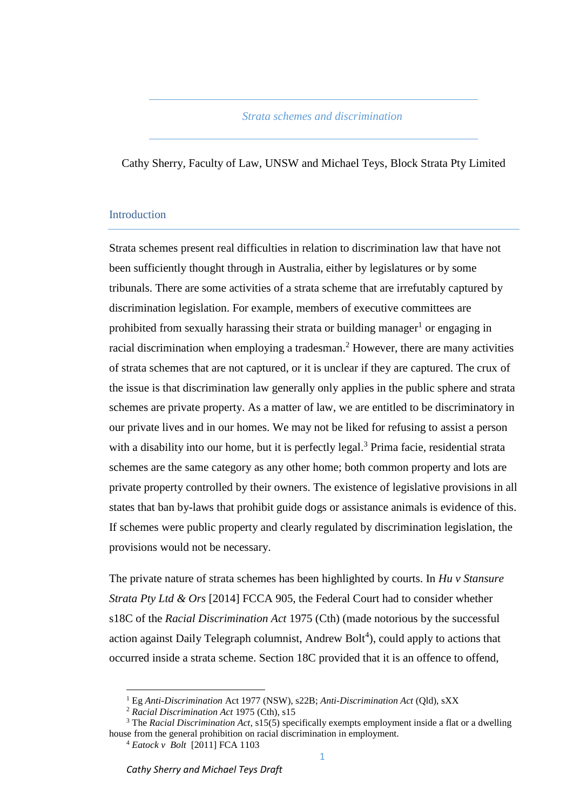# *Strata schemes and discrimination*

Cathy Sherry, Faculty of Law, UNSW and Michael Teys, Block Strata Pty Limited

#### **Introduction**

Strata schemes present real difficulties in relation to discrimination law that have not been sufficiently thought through in Australia, either by legislatures or by some tribunals. There are some activities of a strata scheme that are irrefutably captured by discrimination legislation. For example, members of executive committees are prohibited from sexually harassing their strata or building manager<sup>1</sup> or engaging in racial discrimination when employing a tradesman.<sup>2</sup> However, there are many activities of strata schemes that are not captured, or it is unclear if they are captured. The crux of the issue is that discrimination law generally only applies in the public sphere and strata schemes are private property. As a matter of law, we are entitled to be discriminatory in our private lives and in our homes. We may not be liked for refusing to assist a person with a disability into our home, but it is perfectly legal.<sup>3</sup> Prima facie, residential strata schemes are the same category as any other home; both common property and lots are private property controlled by their owners. The existence of legislative provisions in all states that ban by-laws that prohibit guide dogs or assistance animals is evidence of this. If schemes were public property and clearly regulated by discrimination legislation, the provisions would not be necessary.

The private nature of strata schemes has been highlighted by courts. In *Hu v Stansure Strata Pty Ltd & Ors* [2014] FCCA 905, the Federal Court had to consider whether s18C of the *Racial Discrimination Act* 1975 (Cth) (made notorious by the successful action against Daily Telegraph columnist, Andrew Bolt<sup>4</sup>), could apply to actions that occurred inside a strata scheme. Section 18C provided that it is an offence to offend,

<sup>1</sup> Eg *Anti-Discrimination* Act 1977 (NSW), s22B; *Anti-Discrimination Act* (Qld), sXX

<sup>2</sup> *Racial Discrimination Act* 1975 (Cth), s15

<sup>3</sup> The *Racial Discrimination Act*, s15(5) specifically exempts employment inside a flat or a dwelling house from the general prohibition on racial discrimination in employment.

<sup>4</sup> *Eatock v Bolt* [2011] FCA 1103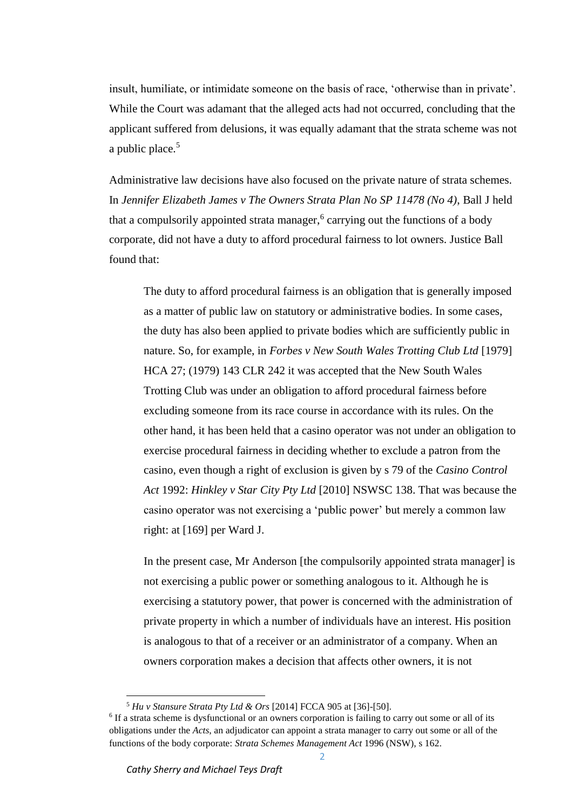insult, humiliate, or intimidate someone on the basis of race, 'otherwise than in private'. While the Court was adamant that the alleged acts had not occurred, concluding that the applicant suffered from delusions, it was equally adamant that the strata scheme was not a public place. $5$ 

Administrative law decisions have also focused on the private nature of strata schemes. In *Jennifer Elizabeth James v The Owners Strata Plan No SP 11478 (No 4)*, Ball J held that a compulsorily appointed strata manager,<sup>6</sup> carrying out the functions of a body corporate, did not have a duty to afford procedural fairness to lot owners. Justice Ball found that:

The duty to afford procedural fairness is an obligation that is generally imposed as a matter of public law on statutory or administrative bodies. In some cases, the duty has also been applied to private bodies which are sufficiently public in nature. So, for example, in *Forbes v New South Wales Trotting Club Ltd* [1979] HCA 27; (1979) 143 CLR 242 it was accepted that the New South Wales Trotting Club was under an obligation to afford procedural fairness before excluding someone from its race course in accordance with its rules. On the other hand, it has been held that a casino operator was not under an obligation to exercise procedural fairness in deciding whether to exclude a patron from the casino, even though a right of exclusion is given by s 79 of the *Casino Control Act* 1992: *Hinkley v Star City Pty Ltd* [2010] NSWSC 138. That was because the casino operator was not exercising a 'public power' but merely a common law right: at [169] per Ward J.

In the present case, Mr Anderson [the compulsorily appointed strata manager] is not exercising a public power or something analogous to it. Although he is exercising a statutory power, that power is concerned with the administration of private property in which a number of individuals have an interest. His position is analogous to that of a receiver or an administrator of a company. When an owners corporation makes a decision that affects other owners, it is not

<sup>5</sup> *Hu v Stansure Strata Pty Ltd & Ors* [2014] FCCA 905 at [36]-[50].

<sup>&</sup>lt;sup>6</sup> If a strata scheme is dysfunctional or an owners corporation is failing to carry out some or all of its obligations under the *Acts*, an adjudicator can appoint a strata manager to carry out some or all of the functions of the body corporate: *Strata Schemes Management Act* 1996 (NSW), s 162.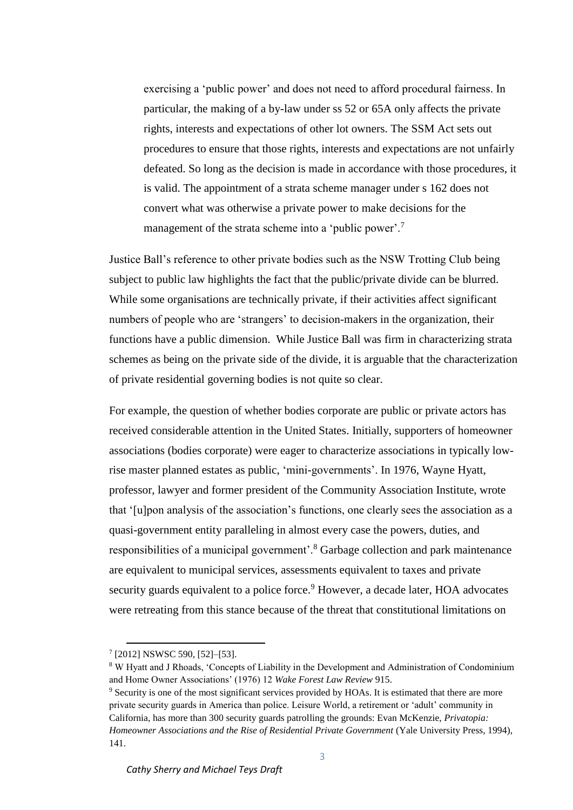exercising a 'public power' and does not need to afford procedural fairness. In particular, the making of a by-law under ss 52 or 65A only affects the private rights, interests and expectations of other lot owners. The SSM Act sets out procedures to ensure that those rights, interests and expectations are not unfairly defeated. So long as the decision is made in accordance with those procedures, it is valid. The appointment of a strata scheme manager under s 162 does not convert what was otherwise a private power to make decisions for the management of the strata scheme into a 'public power'.<sup>7</sup>

Justice Ball's reference to other private bodies such as the NSW Trotting Club being subject to public law highlights the fact that the public/private divide can be blurred. While some organisations are technically private, if their activities affect significant numbers of people who are 'strangers' to decision-makers in the organization, their functions have a public dimension. While Justice Ball was firm in characterizing strata schemes as being on the private side of the divide, it is arguable that the characterization of private residential governing bodies is not quite so clear.

For example, the question of whether bodies corporate are public or private actors has received considerable attention in the United States. Initially, supporters of homeowner associations (bodies corporate) were eager to characterize associations in typically lowrise master planned estates as public, 'mini-governments'. In 1976, Wayne Hyatt, professor, lawyer and former president of the Community Association Institute, wrote that '[u]pon analysis of the association's functions, one clearly sees the association as a quasi-government entity paralleling in almost every case the powers, duties, and responsibilities of a municipal government'.<sup>8</sup> Garbage collection and park maintenance are equivalent to municipal services, assessments equivalent to taxes and private security guards equivalent to a police force.<sup>9</sup> However, a decade later, HOA advocates were retreating from this stance because of the threat that constitutional limitations on

<sup>7</sup> [2012] NSWSC 590, [52]–[53].

<sup>8</sup> W Hyatt and J Rhoads, 'Concepts of Liability in the Development and Administration of Condominium and Home Owner Associations' (1976) 12 *Wake Forest Law Review* 915.

<sup>9</sup> Security is one of the most significant services provided by HOAs. It is estimated that there are more private security guards in America than police. Leisure World, a retirement or 'adult' community in California, has more than 300 security guards patrolling the grounds: Evan McKenzie, *Privatopia: Homeowner Associations and the Rise of Residential Private Government* (Yale University Press, 1994), 141.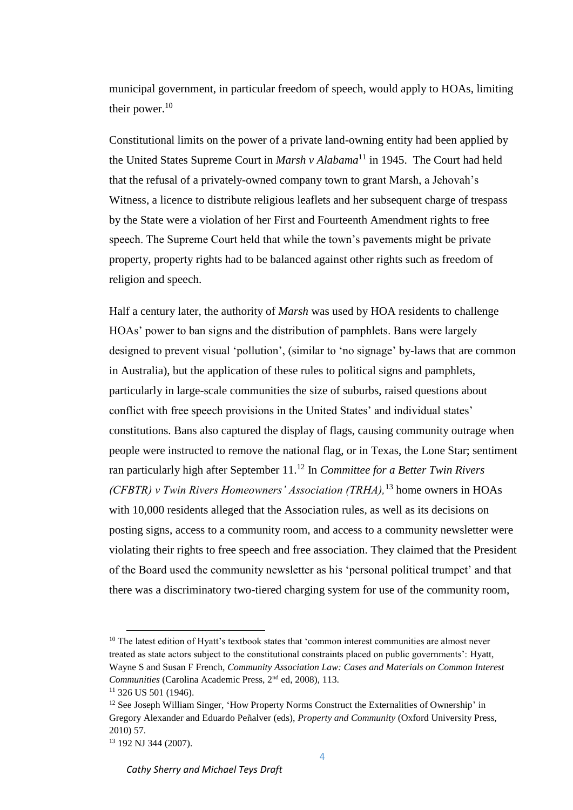municipal government, in particular freedom of speech, would apply to HOAs, limiting their power. $10$ 

Constitutional limits on the power of a private land-owning entity had been applied by the United States Supreme Court in *Marsh v Alabama*<sup>11</sup> in 1945. The Court had held that the refusal of a privately-owned company town to grant Marsh, a Jehovah's Witness, a licence to distribute religious leaflets and her subsequent charge of trespass by the State were a violation of her First and Fourteenth Amendment rights to free speech. The Supreme Court held that while the town's pavements might be private property, property rights had to be balanced against other rights such as freedom of religion and speech.

Half a century later, the authority of *Marsh* was used by HOA residents to challenge HOAs' power to ban signs and the distribution of pamphlets. Bans were largely designed to prevent visual 'pollution', (similar to 'no signage' by-laws that are common in Australia), but the application of these rules to political signs and pamphlets, particularly in large-scale communities the size of suburbs, raised questions about conflict with free speech provisions in the United States' and individual states' constitutions. Bans also captured the display of flags, causing community outrage when people were instructed to remove the national flag, or in Texas, the Lone Star; sentiment ran particularly high after September 11.<sup>12</sup> In *Committee for a Better Twin Rivers (CFBTR) v Twin Rivers Homeowners' Association (TRHA),*<sup>13</sup> home owners in HOAs with 10,000 residents alleged that the Association rules, as well as its decisions on posting signs, access to a community room, and access to a community newsletter were violating their rights to free speech and free association. They claimed that the President of the Board used the community newsletter as his 'personal political trumpet' and that there was a discriminatory two-tiered charging system for use of the community room,

 $10$  The latest edition of Hyatt's textbook states that 'common interest communities are almost never treated as state actors subject to the constitutional constraints placed on public governments': Hyatt, Wayne S and Susan F French, *Community Association Law: Cases and Materials on Common Interest Communities* (Carolina Academic Press, 2nd ed, 2008), 113.

 $11$  326 US 501 (1946).

 $12$  See Joseph William Singer, 'How Property Norms Construct the Externalities of Ownership' in Gregory Alexander and Eduardo Peñalver (eds), *Property and Community* (Oxford University Press, 2010) 57.

<sup>13</sup> 192 NJ 344 (2007).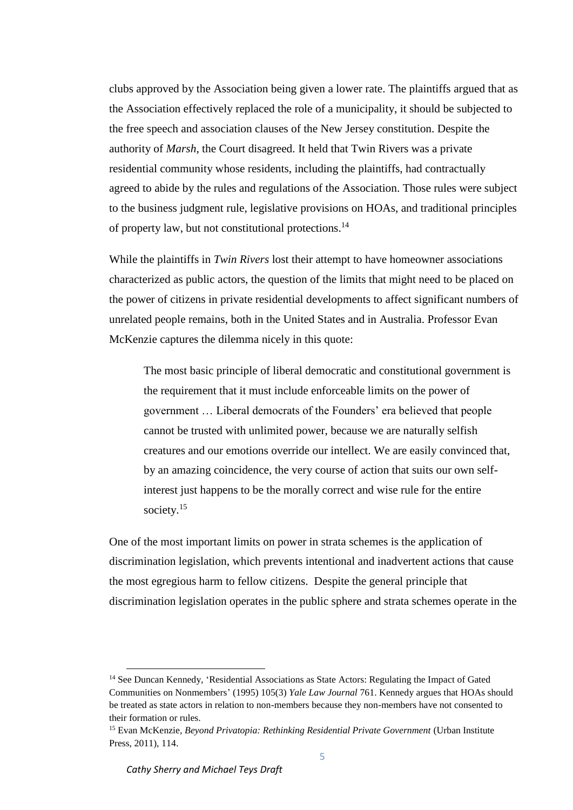clubs approved by the Association being given a lower rate. The plaintiffs argued that as the Association effectively replaced the role of a municipality, it should be subjected to the free speech and association clauses of the New Jersey constitution. Despite the authority of *Marsh*, the Court disagreed. It held that Twin Rivers was a private residential community whose residents, including the plaintiffs, had contractually agreed to abide by the rules and regulations of the Association. Those rules were subject to the business judgment rule, legislative provisions on HOAs, and traditional principles of property law, but not constitutional protections.<sup>14</sup>

While the plaintiffs in *Twin Rivers* lost their attempt to have homeowner associations characterized as public actors, the question of the limits that might need to be placed on the power of citizens in private residential developments to affect significant numbers of unrelated people remains, both in the United States and in Australia. Professor Evan McKenzie captures the dilemma nicely in this quote:

The most basic principle of liberal democratic and constitutional government is the requirement that it must include enforceable limits on the power of government … Liberal democrats of the Founders' era believed that people cannot be trusted with unlimited power, because we are naturally selfish creatures and our emotions override our intellect. We are easily convinced that, by an amazing coincidence, the very course of action that suits our own selfinterest just happens to be the morally correct and wise rule for the entire society.<sup>15</sup>

One of the most important limits on power in strata schemes is the application of discrimination legislation, which prevents intentional and inadvertent actions that cause the most egregious harm to fellow citizens. Despite the general principle that discrimination legislation operates in the public sphere and strata schemes operate in the

<sup>&</sup>lt;sup>14</sup> See Duncan Kennedy, 'Residential Associations as State Actors: Regulating the Impact of Gated Communities on Nonmembers' (1995) 105(3) *Yale Law Journal* 761. Kennedy argues that HOAs should be treated as state actors in relation to non-members because they non-members have not consented to their formation or rules.

<sup>&</sup>lt;sup>15</sup> Evan McKenzie, *Beyond Privatopia: Rethinking Residential Private Government* (Urban Institute Press, 2011), 114.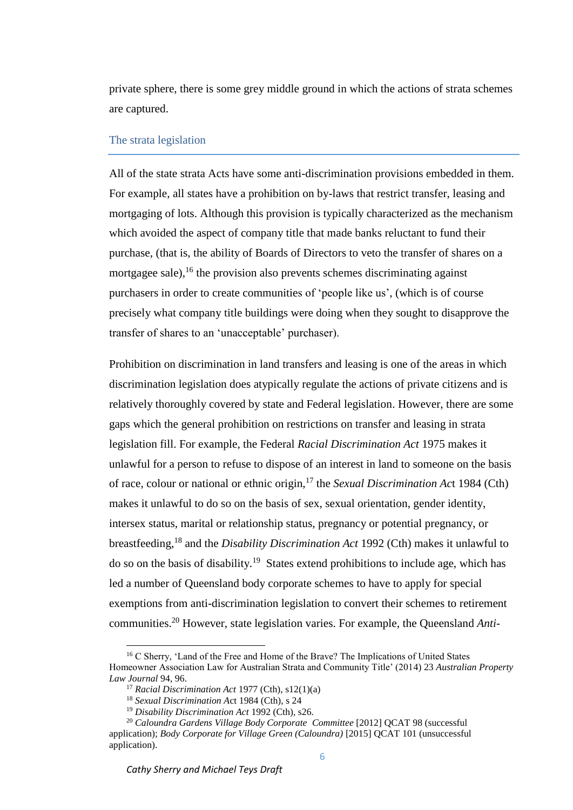private sphere, there is some grey middle ground in which the actions of strata schemes are captured.

## The strata legislation

All of the state strata Acts have some anti-discrimination provisions embedded in them. For example, all states have a prohibition on by-laws that restrict transfer, leasing and mortgaging of lots. Although this provision is typically characterized as the mechanism which avoided the aspect of company title that made banks reluctant to fund their purchase, (that is, the ability of Boards of Directors to veto the transfer of shares on a mortgagee sale),  $^{16}$  the provision also prevents schemes discriminating against purchasers in order to create communities of 'people like us', (which is of course precisely what company title buildings were doing when they sought to disapprove the transfer of shares to an 'unacceptable' purchaser).

Prohibition on discrimination in land transfers and leasing is one of the areas in which discrimination legislation does atypically regulate the actions of private citizens and is relatively thoroughly covered by state and Federal legislation. However, there are some gaps which the general prohibition on restrictions on transfer and leasing in strata legislation fill. For example, the Federal *Racial Discrimination Act* 1975 makes it unlawful for a person to refuse to dispose of an interest in land to someone on the basis of race, colour or national or ethnic origin,<sup>17</sup> the *Sexual Discrimination Ac*t 1984 (Cth) makes it unlawful to do so on the basis of sex, sexual orientation, gender identity, intersex status, marital or relationship status, pregnancy or potential pregnancy, or breastfeeding, <sup>18</sup> and the *Disability Discrimination Act* 1992 (Cth) makes it unlawful to do so on the basis of disability.<sup>19</sup> States extend prohibitions to include age, which has led a number of Queensland body corporate schemes to have to apply for special exemptions from anti-discrimination legislation to convert their schemes to retirement communities.<sup>20</sup> However, state legislation varies. For example, the Queensland *Anti-*

<sup>&</sup>lt;sup>16</sup> C Sherry, 'Land of the Free and Home of the Brave? The Implications of United States Homeowner Association Law for Australian Strata and Community Title' (2014) 23 *Australian Property Law Journal* 94, 96.

<sup>17</sup> *Racial Discrimination Act* 1977 (Cth), s12(1)(a)

<sup>18</sup> *Sexual Discrimination A*ct 1984 (Cth), s 24

<sup>19</sup> *Disability Discrimination Act* 1992 (Cth), s26.

<sup>20</sup> *Caloundra Gardens Village Body Corporate Committee* [2012] QCAT 98 (successful application); *Body Corporate for Village Green (Caloundra)* [2015] QCAT 101 (unsuccessful application).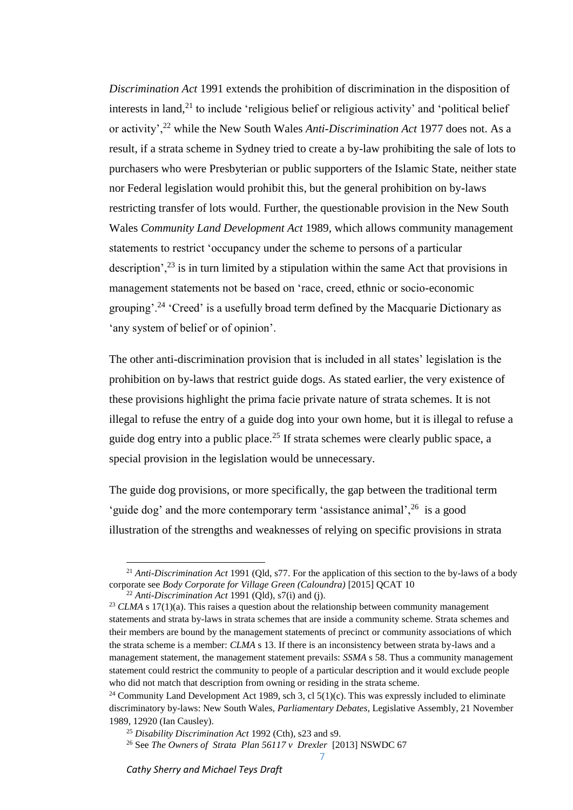*Discrimination Act* 1991 extends the prohibition of discrimination in the disposition of interests in land, $^{21}$  to include 'religious belief or religious activity' and 'political belief or activity',<sup>22</sup> while the New South Wales *Anti-Discrimination Act* 1977 does not. As a result, if a strata scheme in Sydney tried to create a by-law prohibiting the sale of lots to purchasers who were Presbyterian or public supporters of the Islamic State, neither state nor Federal legislation would prohibit this, but the general prohibition on by-laws restricting transfer of lots would. Further, the questionable provision in the New South Wales *Community Land Development Act* 1989, which allows community management statements to restrict 'occupancy under the scheme to persons of a particular description',  $^{23}$  is in turn limited by a stipulation within the same Act that provisions in management statements not be based on 'race, creed, ethnic or socio-economic grouping'.<sup>24</sup> 'Creed' is a usefully broad term defined by the Macquarie Dictionary as 'any system of belief or of opinion'.

The other anti-discrimination provision that is included in all states' legislation is the prohibition on by-laws that restrict guide dogs. As stated earlier, the very existence of these provisions highlight the prima facie private nature of strata schemes. It is not illegal to refuse the entry of a guide dog into your own home, but it is illegal to refuse a guide dog entry into a public place.<sup>25</sup> If strata schemes were clearly public space, a special provision in the legislation would be unnecessary.

The guide dog provisions, or more specifically, the gap between the traditional term 'guide dog' and the more contemporary term 'assistance animal',  $26$  is a good illustration of the strengths and weaknesses of relying on specific provisions in strata

l

7

<sup>21</sup> *Anti-Discrimination Act* 1991 (Qld, s77. For the application of this section to the by-laws of a body corporate see *Body Corporate for Village Green (Caloundra)* [2015] QCAT 10

<sup>&</sup>lt;sup>22</sup> *Anti-Discrimination Act* 1991 (Old),  $s7(i)$  and (j).

<sup>&</sup>lt;sup>23</sup> *CLMA* s 17(1)(a). This raises a question about the relationship between community management statements and strata by-laws in strata schemes that are inside a community scheme. Strata schemes and their members are bound by the management statements of precinct or community associations of which the strata scheme is a member: *CLMA* s 13. If there is an inconsistency between strata by-laws and a management statement, the management statement prevails: *SSMA* s 58. Thus a community management statement could restrict the community to people of a particular description and it would exclude people who did not match that description from owning or residing in the strata scheme.

<sup>&</sup>lt;sup>24</sup> Community Land Development Act 1989, sch 3, cl  $5(1)(c)$ . This was expressly included to eliminate discriminatory by-laws: New South Wales, *Parliamentary Debates*, Legislative Assembly, 21 November 1989, 12920 (Ian Causley).

<sup>25</sup> *Disability Discrimination Act* 1992 (Cth), s23 and s9.

<sup>26</sup> See *The Owners of Strata Plan 56117 v Drexler* [2013] NSWDC 67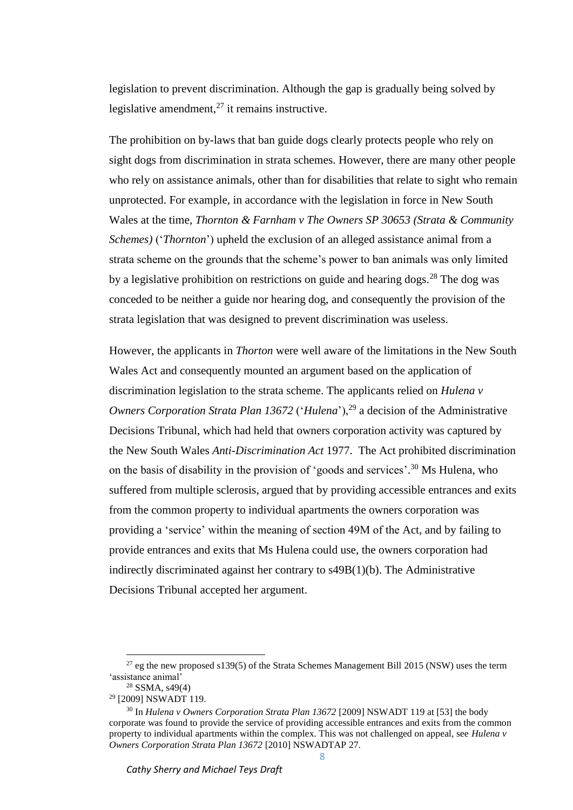legislation to prevent discrimination. Although the gap is gradually being solved by legislative amendment, $^{27}$  it remains instructive.

The prohibition on by-laws that ban guide dogs clearly protects people who rely on sight dogs from discrimination in strata schemes. However, there are many other people who rely on assistance animals, other than for disabilities that relate to sight who remain unprotected. For example, in accordance with the legislation in force in New South Wales at the time, *Thornton & Farnham v The Owners SP 30653 (Strata & Community Schemes)* ('*Thornton*') upheld the exclusion of an alleged assistance animal from a strata scheme on the grounds that the scheme's power to ban animals was only limited by a legislative prohibition on restrictions on guide and hearing dogs.<sup>28</sup> The dog was conceded to be neither a guide nor hearing dog, and consequently the provision of the strata legislation that was designed to prevent discrimination was useless.

However, the applicants in *Thorton* were well aware of the limitations in the New South Wales Act and consequently mounted an argument based on the application of discrimination legislation to the strata scheme. The applicants relied on *Hulena v Owners Corporation Strata Plan 13672* ('*Hulena*'),<sup>29</sup> a decision of the Administrative Decisions Tribunal, which had held that owners corporation activity was captured by the New South Wales *Anti-Discrimination Act* 1977. The Act prohibited discrimination on the basis of disability in the provision of 'goods and services'.<sup>30</sup> Ms Hulena, who suffered from multiple sclerosis, argued that by providing accessible entrances and exits from the common property to individual apartments the owners corporation was providing a 'service' within the meaning of section 49M of the Act, and by failing to provide entrances and exits that Ms Hulena could use, the owners corporation had indirectly discriminated against her contrary to s49B(1)(b). The Administrative Decisions Tribunal accepted her argument.

 $27$  eg the new proposed s139(5) of the Strata Schemes Management Bill 2015 (NSW) uses the term 'assistance animal'

 $28$  SSMA, s49(4)

<sup>29</sup> [2009] NSWADT 119.

<sup>&</sup>lt;sup>30</sup> In *Hulena v Owners Corporation Strata Plan 13672* [2009] NSWADT 119 at [53] the body corporate was found to provide the service of providing accessible entrances and exits from the common property to individual apartments within the complex. This was not challenged on appeal, see *Hulena v Owners Corporation Strata Plan 13672* [2010] NSWADTAP 27.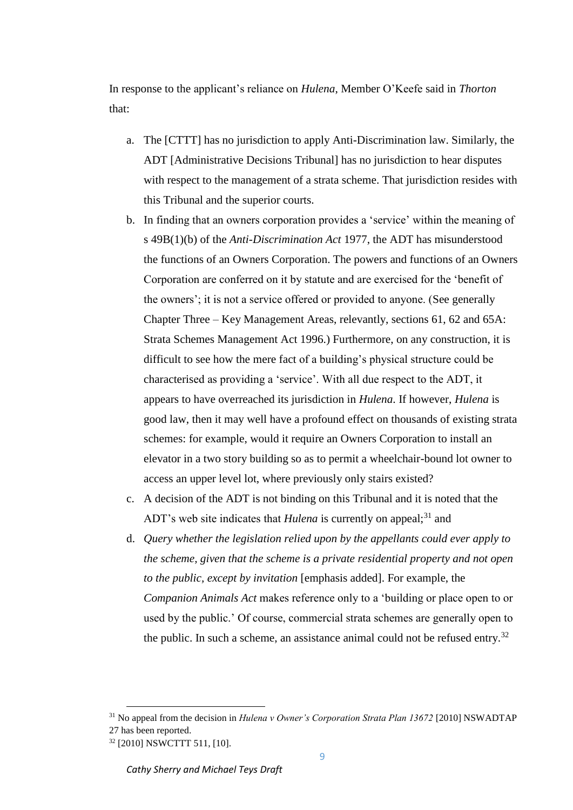In response to the applicant's reliance on *Hulena*, Member O'Keefe said in *Thorton*  that:

- a. The [CTTT] has no jurisdiction to apply Anti-Discrimination law. Similarly, the ADT [Administrative Decisions Tribunal] has no jurisdiction to hear disputes with respect to the management of a strata scheme. That jurisdiction resides with this Tribunal and the superior courts.
- b. In finding that an owners corporation provides a 'service' within the meaning of s 49B(1)(b) of the *Anti-Discrimination Act* 1977, the ADT has misunderstood the functions of an Owners Corporation. The powers and functions of an Owners Corporation are conferred on it by statute and are exercised for the 'benefit of the owners'; it is not a service offered or provided to anyone. (See generally Chapter Three – Key Management Areas, relevantly, sections 61, 62 and 65A: Strata Schemes Management Act 1996.) Furthermore, on any construction, it is difficult to see how the mere fact of a building's physical structure could be characterised as providing a 'service'. With all due respect to the ADT, it appears to have overreached its jurisdiction in *Hulena*. If however, *Hulena* is good law, then it may well have a profound effect on thousands of existing strata schemes: for example, would it require an Owners Corporation to install an elevator in a two story building so as to permit a wheelchair-bound lot owner to access an upper level lot, where previously only stairs existed?
- c. A decision of the ADT is not binding on this Tribunal and it is noted that the ADT's web site indicates that *Hulena* is currently on appeal;<sup>31</sup> and
- d. *Query whether the legislation relied upon by the appellants could ever apply to the scheme, given that the scheme is a private residential property and not open to the public, except by invitation* [emphasis added]. For example, the *Companion Animals Act* makes reference only to a 'building or place open to or used by the public.' Of course, commercial strata schemes are generally open to the public. In such a scheme, an assistance animal could not be refused entry.<sup>32</sup>

<sup>31</sup> No appeal from the decision in *Hulena v Owner's Corporation Strata Plan 13672* [2010] NSWADTAP 27 has been reported.

<sup>32</sup> [2010] NSWCTTT 511, [10].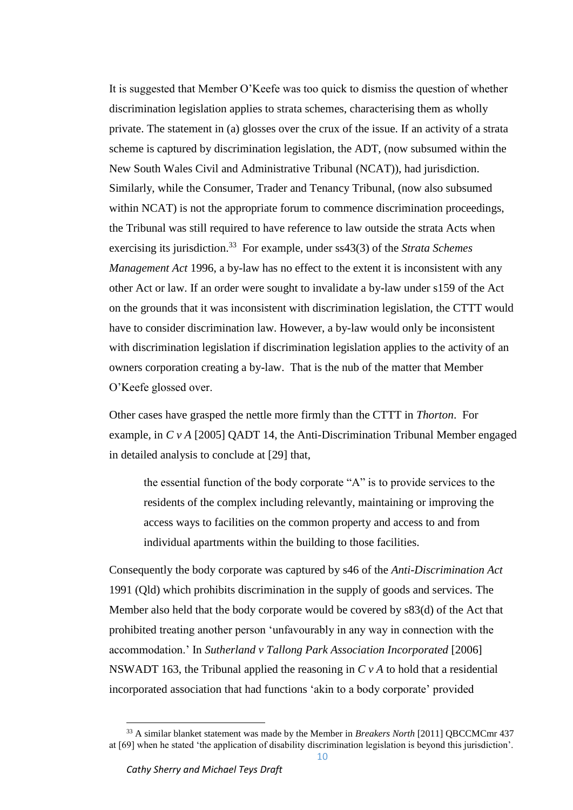It is suggested that Member O'Keefe was too quick to dismiss the question of whether discrimination legislation applies to strata schemes, characterising them as wholly private. The statement in (a) glosses over the crux of the issue. If an activity of a strata scheme is captured by discrimination legislation, the ADT, (now subsumed within the New South Wales Civil and Administrative Tribunal (NCAT)), had jurisdiction. Similarly, while the Consumer, Trader and Tenancy Tribunal, (now also subsumed within NCAT) is not the appropriate forum to commence discrimination proceedings, the Tribunal was still required to have reference to law outside the strata Acts when exercising its jurisdiction.<sup>33</sup> For example, under ss43(3) of the *Strata Schemes Management Act* 1996, a by-law has no effect to the extent it is inconsistent with any other Act or law. If an order were sought to invalidate a by-law under s159 of the Act on the grounds that it was inconsistent with discrimination legislation, the CTTT would have to consider discrimination law. However, a by-law would only be inconsistent with discrimination legislation if discrimination legislation applies to the activity of an owners corporation creating a by-law. That is the nub of the matter that Member O'Keefe glossed over.

Other cases have grasped the nettle more firmly than the CTTT in *Thorton*. For example, in *C v A* [2005] QADT 14, the Anti-Discrimination Tribunal Member engaged in detailed analysis to conclude at [29] that,

the essential function of the body corporate "A" is to provide services to the residents of the complex including relevantly, maintaining or improving the access ways to facilities on the common property and access to and from individual apartments within the building to those facilities.

Consequently the body corporate was captured by s46 of the *Anti-Discrimination Act* 1991 (Qld) which prohibits discrimination in the supply of goods and services. The Member also held that the body corporate would be covered by s83(d) of the Act that prohibited treating another person 'unfavourably in any way in connection with the accommodation.' In *Sutherland v Tallong Park Association Incorporated* [2006] NSWADT 163, the Tribunal applied the reasoning in  $C<sub>v</sub>A$  to hold that a residential incorporated association that had functions 'akin to a body corporate' provided

<sup>33</sup> A similar blanket statement was made by the Member in *Breakers North* [2011] QBCCMCmr 437 at [69] when he stated 'the application of disability discrimination legislation is beyond this jurisdiction'.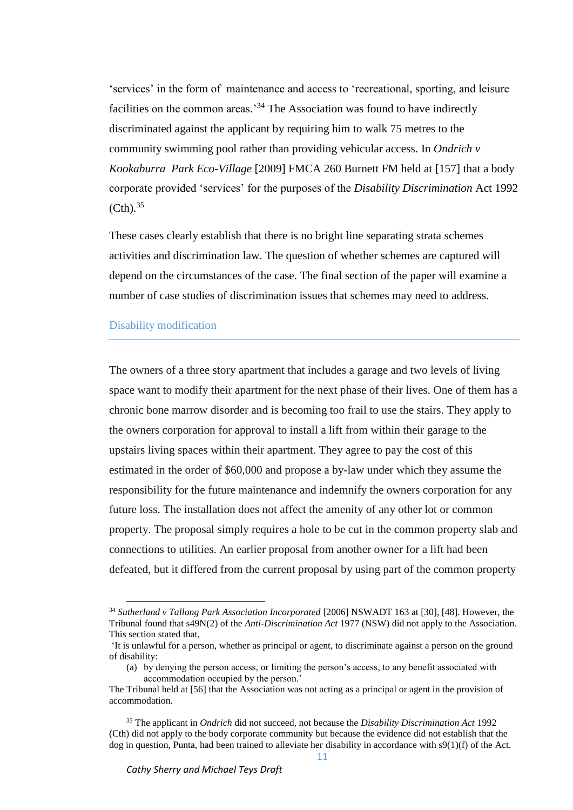'services' in the form of maintenance and access to 'recreational, sporting, and leisure facilities on the common areas.<sup>34</sup> The Association was found to have indirectly discriminated against the applicant by requiring him to walk 75 metres to the community swimming pool rather than providing vehicular access. In *Ondrich v Kookaburra Park Eco-Village* [2009] FMCA 260 Burnett FM held at [157] that a body corporate provided 'services' for the purposes of the *Disability Discrimination* Act 1992  $(Cth).$ <sup>35</sup>

These cases clearly establish that there is no bright line separating strata schemes activities and discrimination law. The question of whether schemes are captured will depend on the circumstances of the case. The final section of the paper will examine a number of case studies of discrimination issues that schemes may need to address.

#### Disability modification

 $\overline{\phantom{a}}$ 

The owners of a three story apartment that includes a garage and two levels of living space want to modify their apartment for the next phase of their lives. One of them has a chronic bone marrow disorder and is becoming too frail to use the stairs. They apply to the owners corporation for approval to install a lift from within their garage to the upstairs living spaces within their apartment. They agree to pay the cost of this estimated in the order of \$60,000 and propose a by-law under which they assume the responsibility for the future maintenance and indemnify the owners corporation for any future loss. The installation does not affect the amenity of any other lot or common property. The proposal simply requires a hole to be cut in the common property slab and connections to utilities. An earlier proposal from another owner for a lift had been defeated, but it differed from the current proposal by using part of the common property

<sup>34</sup> *Sutherland v Tallong Park Association Incorporated* [2006] NSWADT 163 at [30], [48]. However, the Tribunal found that s49N(2) of the *Anti-Discrimination Act* 1977 (NSW) did not apply to the Association. This section stated that,

<sup>&#</sup>x27;It is unlawful for a person, whether as principal or agent, to discriminate against a person on the ground of disability:

<sup>(</sup>a) by denying the person access, or limiting the person's access, to any benefit associated with accommodation occupied by the person.'

The Tribunal held at [56] that the Association was not acting as a principal or agent in the provision of accommodation.

<sup>35</sup> The applicant in *Ondrich* did not succeed, not because the *Disability Discrimination Act* 1992 (Cth) did not apply to the body corporate community but because the evidence did not establish that the dog in question, Punta, had been trained to alleviate her disability in accordance with s9(1)(f) of the Act.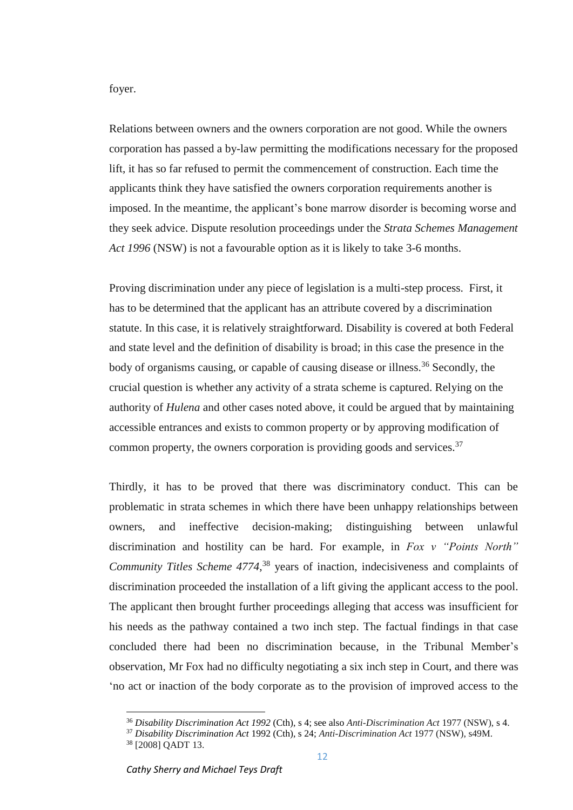foyer.

Relations between owners and the owners corporation are not good. While the owners corporation has passed a by-law permitting the modifications necessary for the proposed lift, it has so far refused to permit the commencement of construction. Each time the applicants think they have satisfied the owners corporation requirements another is imposed. In the meantime, the applicant's bone marrow disorder is becoming worse and they seek advice. Dispute resolution proceedings under the *Strata Schemes Management Act 1996* (NSW) is not a favourable option as it is likely to take 3-6 months.

Proving discrimination under any piece of legislation is a multi-step process. First, it has to be determined that the applicant has an attribute covered by a discrimination statute. In this case, it is relatively straightforward. Disability is covered at both Federal and state level and the definition of disability is broad; in this case the presence in the body of organisms causing, or capable of causing disease or illness.<sup>36</sup> Secondly, the crucial question is whether any activity of a strata scheme is captured. Relying on the authority of *Hulena* and other cases noted above, it could be argued that by maintaining accessible entrances and exists to common property or by approving modification of common property, the owners corporation is providing goods and services.  $37$ 

Thirdly, it has to be proved that there was discriminatory conduct. This can be problematic in strata schemes in which there have been unhappy relationships between owners, and ineffective decision-making; distinguishing between unlawful discrimination and hostility can be hard. For example, in *Fox v "Points North" Community Titles Scheme 4774*, <sup>38</sup> years of inaction, indecisiveness and complaints of discrimination proceeded the installation of a lift giving the applicant access to the pool. The applicant then brought further proceedings alleging that access was insufficient for his needs as the pathway contained a two inch step. The factual findings in that case concluded there had been no discrimination because, in the Tribunal Member's observation, Mr Fox had no difficulty negotiating a six inch step in Court, and there was 'no act or inaction of the body corporate as to the provision of improved access to the

<sup>36</sup> *Disability Discrimination Act 1992* (Cth), s 4; see also *Anti-Discrimination Act* 1977 (NSW), s 4.

<sup>37</sup> *Disability Discrimination Act* 1992 (Cth), s 24; *Anti-Discrimination Act* 1977 (NSW), s49M.

<sup>38</sup> [2008] QADT 13.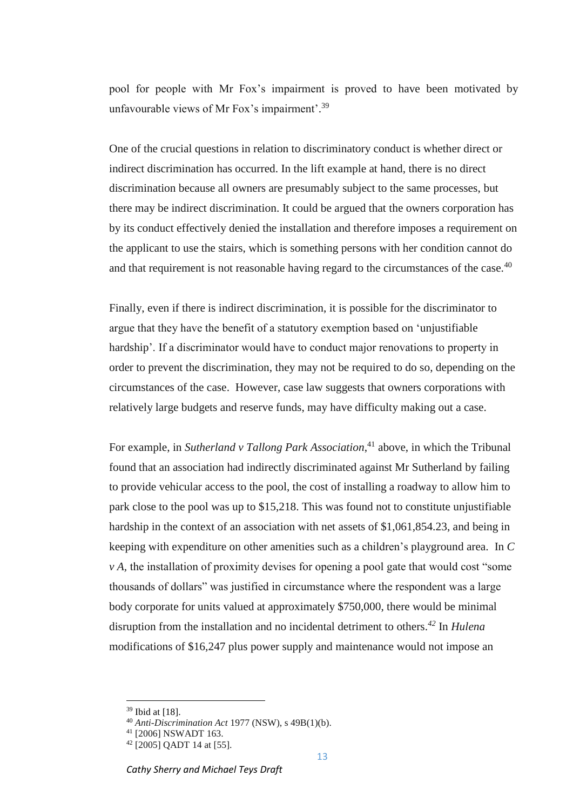pool for people with Mr Fox's impairment is proved to have been motivated by unfavourable views of Mr Fox's impairment'.<sup>39</sup>

One of the crucial questions in relation to discriminatory conduct is whether direct or indirect discrimination has occurred. In the lift example at hand, there is no direct discrimination because all owners are presumably subject to the same processes, but there may be indirect discrimination. It could be argued that the owners corporation has by its conduct effectively denied the installation and therefore imposes a requirement on the applicant to use the stairs, which is something persons with her condition cannot do and that requirement is not reasonable having regard to the circumstances of the case.<sup>40</sup>

Finally, even if there is indirect discrimination, it is possible for the discriminator to argue that they have the benefit of a statutory exemption based on 'unjustifiable hardship'. If a discriminator would have to conduct major renovations to property in order to prevent the discrimination, they may not be required to do so, depending on the circumstances of the case. However, case law suggests that owners corporations with relatively large budgets and reserve funds, may have difficulty making out a case.

For example, in *Sutherland v Tallong Park Association*,<sup>41</sup> above, in which the Tribunal found that an association had indirectly discriminated against Mr Sutherland by failing to provide vehicular access to the pool, the cost of installing a roadway to allow him to park close to the pool was up to \$15,218. This was found not to constitute unjustifiable hardship in the context of an association with net assets of \$1,061,854.23, and being in keeping with expenditure on other amenities such as a children's playground area. In *C v A,* the installation of proximity devises for opening a pool gate that would cost "some thousands of dollars" was justified in circumstance where the respondent was a large body corporate for units valued at approximately \$750,000, there would be minimal disruption from the installation and no incidental detriment to others. *<sup>42</sup>* In *Hulena*  modifications of \$16,247 plus power supply and maintenance would not impose an

 $\overline{\phantom{a}}$ 

13

<sup>39</sup> Ibid at [18].

<sup>40</sup> *Anti-Discrimination Act* 1977 (NSW), s 49B(1)(b).

<sup>41</sup> [2006] NSWADT 163.

<sup>42</sup> [2005] QADT 14 at [55].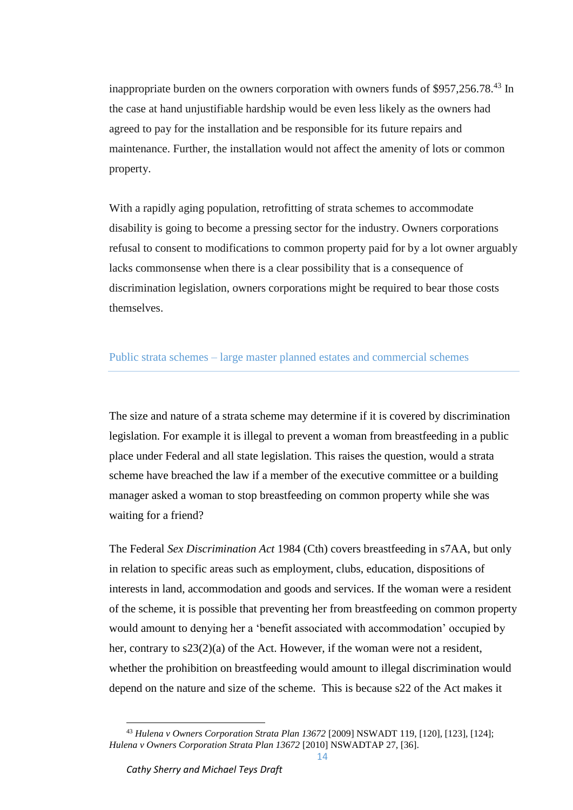inappropriate burden on the owners corporation with owners funds of \$957,256.78.<sup>43</sup> In the case at hand unjustifiable hardship would be even less likely as the owners had agreed to pay for the installation and be responsible for its future repairs and maintenance. Further, the installation would not affect the amenity of lots or common property.

With a rapidly aging population, retrofitting of strata schemes to accommodate disability is going to become a pressing sector for the industry. Owners corporations refusal to consent to modifications to common property paid for by a lot owner arguably lacks commonsense when there is a clear possibility that is a consequence of discrimination legislation, owners corporations might be required to bear those costs themselves.

# Public strata schemes – large master planned estates and commercial schemes

The size and nature of a strata scheme may determine if it is covered by discrimination legislation. For example it is illegal to prevent a woman from breastfeeding in a public place under Federal and all state legislation. This raises the question, would a strata scheme have breached the law if a member of the executive committee or a building manager asked a woman to stop breastfeeding on common property while she was waiting for a friend?

The Federal *Sex Discrimination Act* 1984 (Cth) covers breastfeeding in s7AA, but only in relation to specific areas such as employment, clubs, education, dispositions of interests in land, accommodation and goods and services. If the woman were a resident of the scheme, it is possible that preventing her from breastfeeding on common property would amount to denying her a 'benefit associated with accommodation' occupied by her, contrary to s23(2)(a) of the Act. However, if the woman were not a resident, whether the prohibition on breastfeeding would amount to illegal discrimination would depend on the nature and size of the scheme. This is because s22 of the Act makes it

<sup>43</sup> *Hulena v Owners Corporation Strata Plan 13672* [2009] NSWADT 119, [120], [123], [124]; *Hulena v Owners Corporation Strata Plan 13672* [2010] NSWADTAP 27, [36].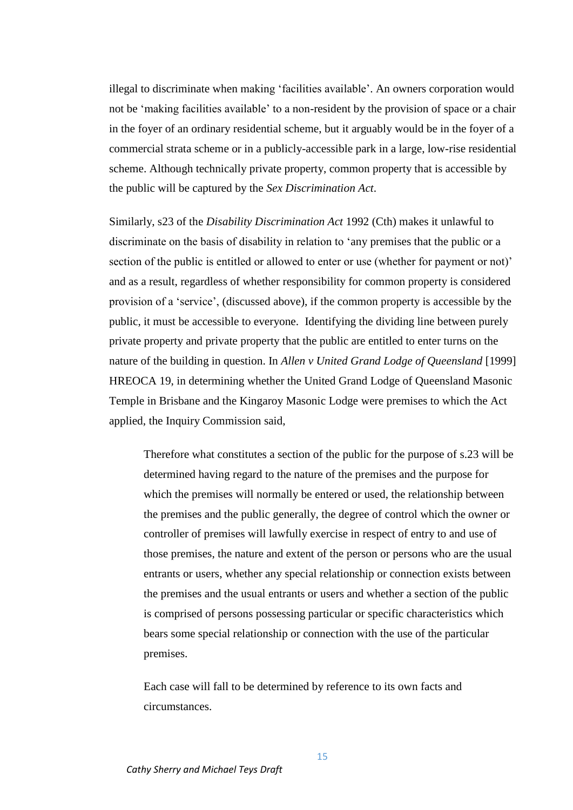illegal to discriminate when making 'facilities available'. An owners corporation would not be 'making facilities available' to a non-resident by the provision of space or a chair in the foyer of an ordinary residential scheme, but it arguably would be in the foyer of a commercial strata scheme or in a publicly-accessible park in a large, low-rise residential scheme. Although technically private property, common property that is accessible by the public will be captured by the *Sex Discrimination Act*.

Similarly, s23 of the *Disability Discrimination Act* 1992 (Cth) makes it unlawful to discriminate on the basis of disability in relation to 'any premises that the public or a section of the public is entitled or allowed to enter or use (whether for payment or not)' and as a result, regardless of whether responsibility for common property is considered provision of a 'service', (discussed above), if the common property is accessible by the public, it must be accessible to everyone. Identifying the dividing line between purely private property and private property that the public are entitled to enter turns on the nature of the building in question. In *Allen v United Grand Lodge of Queensland* [1999] HREOCA 19, in determining whether the United Grand Lodge of Queensland Masonic Temple in Brisbane and the Kingaroy Masonic Lodge were premises to which the Act applied, the Inquiry Commission said,

Therefore what constitutes a section of the public for the purpose of s.23 will be determined having regard to the nature of the premises and the purpose for which the premises will normally be entered or used, the relationship between the premises and the public generally, the degree of control which the owner or controller of premises will lawfully exercise in respect of entry to and use of those premises, the nature and extent of the person or persons who are the usual entrants or users, whether any special relationship or connection exists between the premises and the usual entrants or users and whether a section of the public is comprised of persons possessing particular or specific characteristics which bears some special relationship or connection with the use of the particular premises.

Each case will fall to be determined by reference to its own facts and circumstances.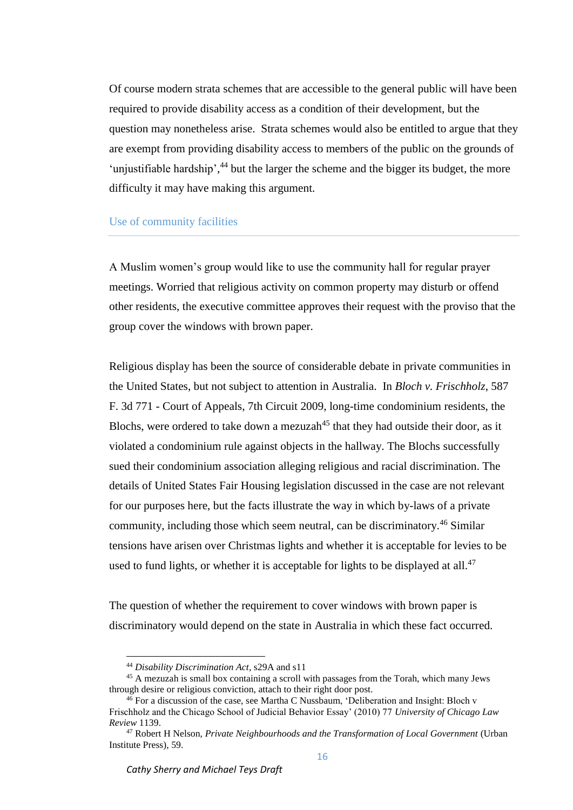Of course modern strata schemes that are accessible to the general public will have been required to provide disability access as a condition of their development, but the question may nonetheless arise. Strata schemes would also be entitled to argue that they are exempt from providing disability access to members of the public on the grounds of 'unjustifiable hardship',<sup>44</sup> but the larger the scheme and the bigger its budget, the more difficulty it may have making this argument.

### Use of community facilities

A Muslim women's group would like to use the community hall for regular prayer meetings. Worried that religious activity on common property may disturb or offend other residents, the executive committee approves their request with the proviso that the group cover the windows with brown paper.

Religious display has been the source of considerable debate in private communities in the United States, but not subject to attention in Australia. In *Bloch v. Frischholz*, 587 F. 3d 771 - Court of Appeals, 7th Circuit 2009, long-time condominium residents, the Blochs, were ordered to take down a mezuzah<sup>45</sup> that they had outside their door, as it violated a condominium rule against objects in the hallway. The Blochs successfully sued their condominium association alleging religious and racial discrimination. The details of United States Fair Housing legislation discussed in the case are not relevant for our purposes here, but the facts illustrate the way in which by-laws of a private community, including those which seem neutral, can be discriminatory.<sup>46</sup> Similar tensions have arisen over Christmas lights and whether it is acceptable for levies to be used to fund lights, or whether it is acceptable for lights to be displayed at all.<sup>47</sup>

The question of whether the requirement to cover windows with brown paper is discriminatory would depend on the state in Australia in which these fact occurred.

<sup>44</sup> *Disability Discrimination Act*, s29A and s11

<sup>45</sup> A mezuzah is small box containing a scroll with passages from the Torah, which many Jews through desire or religious conviction, attach to their right door post.

 $46$  For a discussion of the case, see Martha C Nussbaum, 'Deliberation and Insight: Bloch v Frischholz and the Chicago School of Judicial Behavior Essay' (2010) 77 *University of Chicago Law Review* 1139.

<sup>47</sup> Robert H Nelson, *Private Neighbourhoods and the Transformation of Local Government* (Urban Institute Press), 59.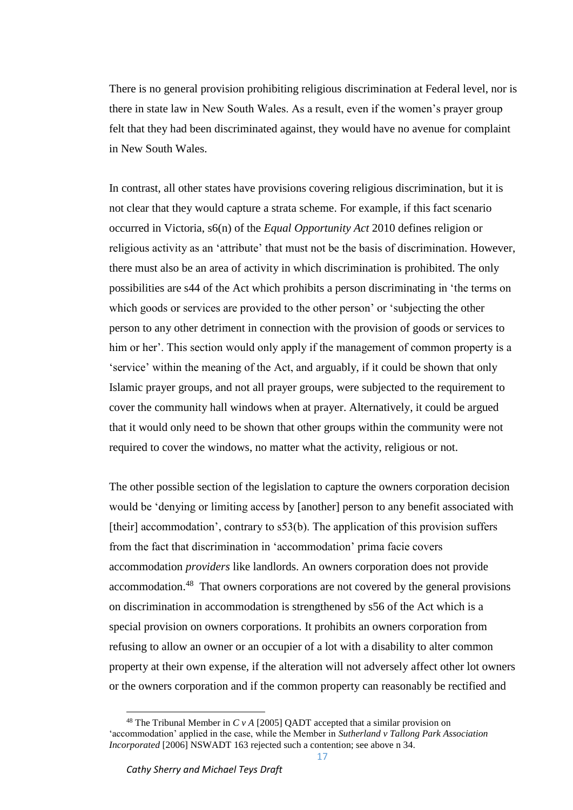There is no general provision prohibiting religious discrimination at Federal level, nor is there in state law in New South Wales. As a result, even if the women's prayer group felt that they had been discriminated against, they would have no avenue for complaint in New South Wales.

In contrast, all other states have provisions covering religious discrimination, but it is not clear that they would capture a strata scheme. For example, if this fact scenario occurred in Victoria, s6(n) of the *Equal Opportunity Act* 2010 defines religion or religious activity as an 'attribute' that must not be the basis of discrimination. However, there must also be an area of activity in which discrimination is prohibited. The only possibilities are s44 of the Act which prohibits a person discriminating in 'the terms on which goods or services are provided to the other person' or 'subjecting the other person to any other detriment in connection with the provision of goods or services to him or her'. This section would only apply if the management of common property is a 'service' within the meaning of the Act, and arguably, if it could be shown that only Islamic prayer groups, and not all prayer groups, were subjected to the requirement to cover the community hall windows when at prayer. Alternatively, it could be argued that it would only need to be shown that other groups within the community were not required to cover the windows, no matter what the activity, religious or not.

The other possible section of the legislation to capture the owners corporation decision would be 'denying or limiting access by [another] person to any benefit associated with [their] accommodation', contrary to  $s53(b)$ . The application of this provision suffers from the fact that discrimination in 'accommodation' prima facie covers accommodation *providers* like landlords. An owners corporation does not provide accommodation.<sup>48</sup> That owners corporations are not covered by the general provisions on discrimination in accommodation is strengthened by s56 of the Act which is a special provision on owners corporations. It prohibits an owners corporation from refusing to allow an owner or an occupier of a lot with a disability to alter common property at their own expense, if the alteration will not adversely affect other lot owners or the owners corporation and if the common property can reasonably be rectified and

<sup>&</sup>lt;sup>48</sup> The Tribunal Member in *C v A* [2005] OADT accepted that a similar provision on 'accommodation' applied in the case, while the Member in *Sutherland v Tallong Park Association Incorporated* [2006] NSWADT 163 rejected such a contention; see above n 34.